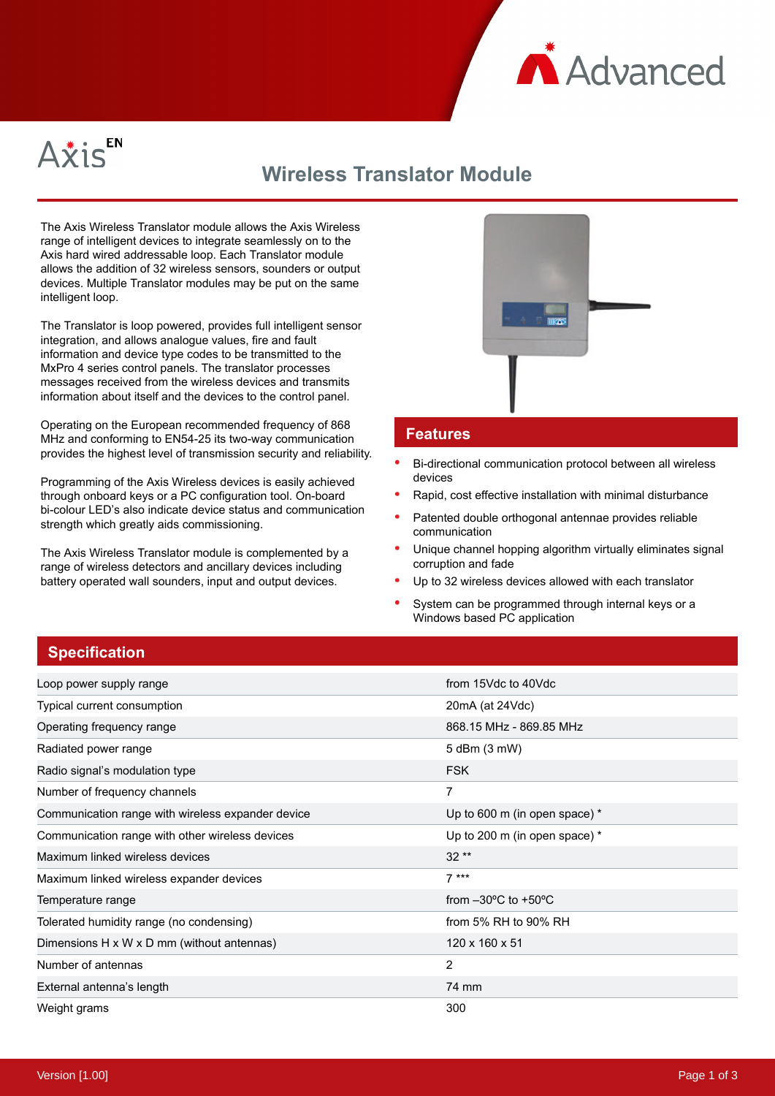



## **Wireless Translator Module**

The Axis Wireless Translator module allows the Axis Wireless range of intelligent devices to integrate seamlessly on to the Axis hard wired addressable loop. Each Translator module allows the addition of 32 wireless sensors, sounders or output devices. Multiple Translator modules may be put on the same intelligent loop.

The Translator is loop powered, provides full intelligent sensor integration, and allows analogue values, fire and fault information and device type codes to be transmitted to the MxPro 4 series control panels. The translator processes messages received from the wireless devices and transmits information about itself and the devices to the control panel.

Operating on the European recommended frequency of 868 MHz and conforming to EN54-25 its two-way communication provides the highest level of transmission security and reliability.

Programming of the Axis Wireless devices is easily achieved through onboard keys or a PC configuration tool. On-board bi-colour LED's also indicate device status and communication strength which greatly aids commissioning.

The Axis Wireless Translator module is complemented by a range of wireless detectors and ancillary devices including battery operated wall sounders, input and output devices.



#### **Features**

- Bi-directional communication protocol between all wireless devices
- Rapid, cost effective installation with minimal disturbance
- Patented double orthogonal antennae provides reliable communication
- Unique channel hopping algorithm virtually eliminates signal corruption and fade
- Up to 32 wireless devices allowed with each translator
- System can be programmed through internal keys or a Windows based PC application

### **Specification**

| Loop power supply range                                | from 15Vdc to 40Vdc                     |
|--------------------------------------------------------|-----------------------------------------|
| Typical current consumption                            | $20mA$ (at $24Vdc$ )                    |
| Operating frequency range                              | 868.15 MHz - 869.85 MHz                 |
| Radiated power range                                   | 5 dBm (3 mW)                            |
| Radio signal's modulation type                         | <b>FSK</b>                              |
| Number of frequency channels                           | 7                                       |
| Communication range with wireless expander device      | Up to 600 m (in open space) *           |
| Communication range with other wireless devices        | Up to 200 m (in open space) *           |
| Maximum linked wireless devices                        | $32**$                                  |
| Maximum linked wireless expander devices               | $7***$                                  |
| Temperature range                                      | from $-30^{\circ}$ C to $+50^{\circ}$ C |
| Tolerated humidity range (no condensing)               | from 5% RH to 90% RH                    |
| Dimensions $H \times W \times D$ mm (without antennas) | 120 x 160 x 51                          |
| Number of antennas                                     | $\overline{2}$                          |
| External antenna's length                              | 74 mm                                   |
| Weight grams                                           | 300                                     |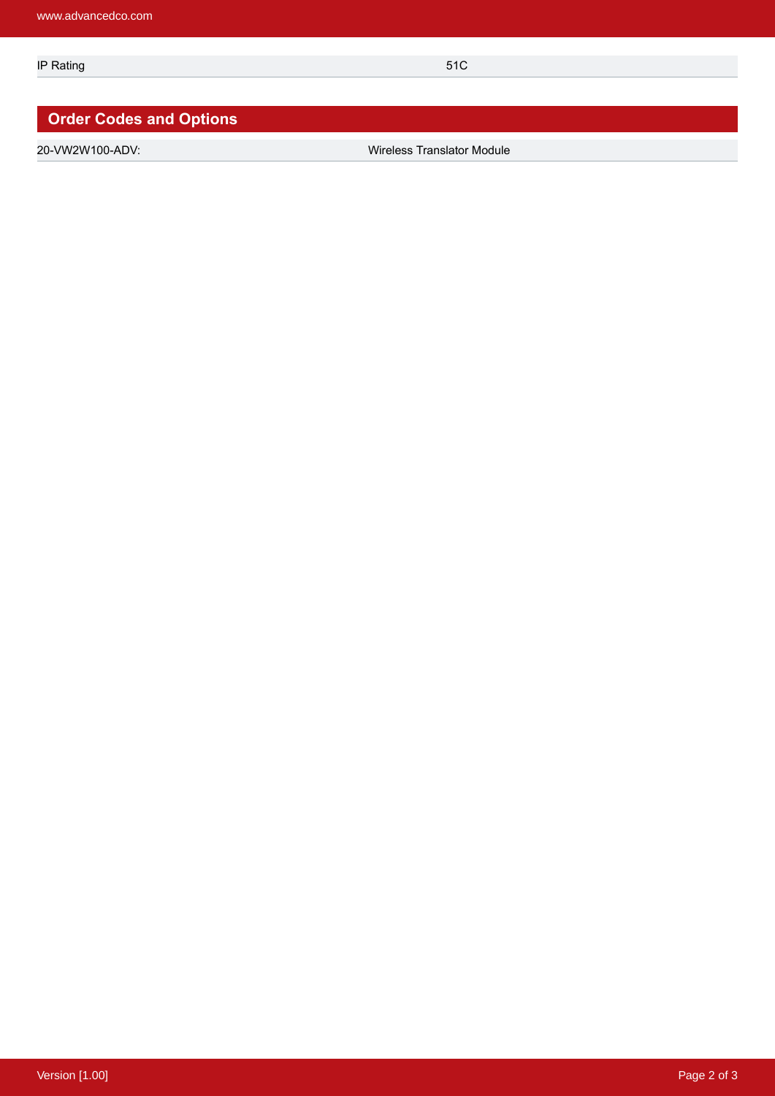**IP Rating 51C IP Rating** 51C

# **Order Codes and Options**

20-VW2W100-ADV: Wireless Translator Module